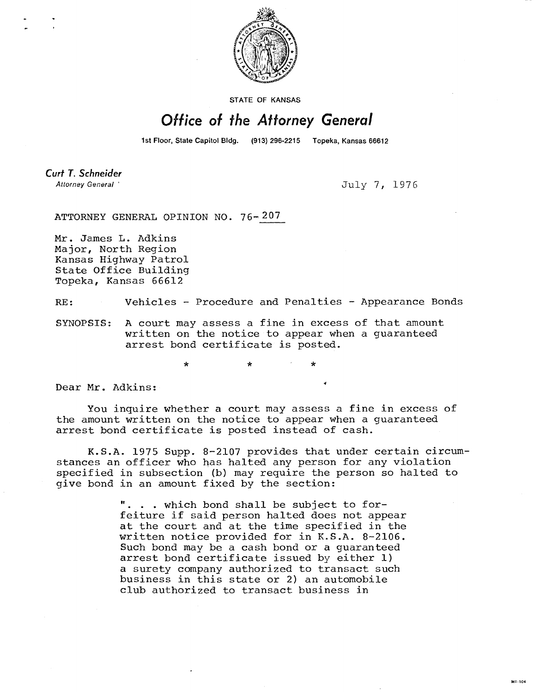

**STATE OF KANSAS** 

## Office of the Attorney General

1st Floor, State Capitol Bldg. (913) 296-2215 Topeka, Kansas 66612

**Curt T. Schneider** Attorney General

July 7, 1976

ATTORNEY GENERAL OPINION NO. 76-207

Mr. James L. Adkins Major, North Region Kansas Highway Patrol State Office Building Topeka, Kansas 66612

RE: Vehicles - Procedure and Penalties - Appearance Bonds

SYNOPSIS: A court may assess a fine in excess of that amount written on the notice to appear when a guaranteed arrest bond certificate is posted.

\* \*

Dear Mr. Adkins: **<sup>4</sup>**

You inquire whether a court may assess a fine in excess of the amount written on the notice to appear when a guaranteed arrest bond certificate is posted instead of cash.

K.S.A. 1975 Supp. 8-2107 provides that under certain circumstances an officer who has halted any person for any violation specified in subsection (b) may require the person so halted to give bond in an amount fixed by the section:

> . . which bond shall be subject to forfeiture if said person halted does not appear at the court and at the time specified in the written notice provided for in K.S.A. 8-2106. Such bond may be a cash bond or a guaranteed arrest bond certificate issued by either 1) a surety company authorized to transact such business in this state or 2) an automobile club authorized to transact business in